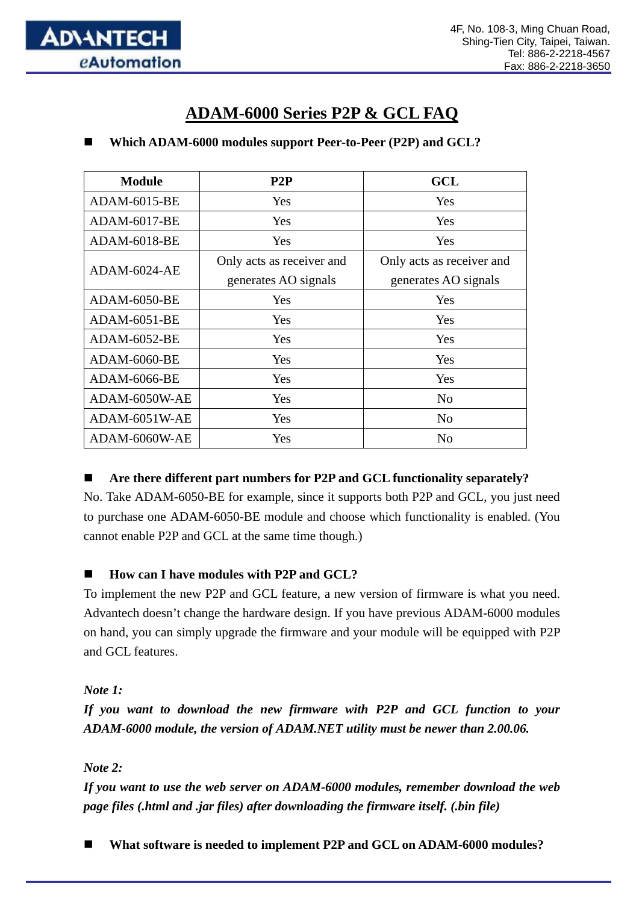

# **ADAM-6000 Series P2P & GCL FAQ**

#### **Which ADAM-6000 modules support Peer-to-Peer (P2P) and GCL?**

| <b>Module</b>       | P2P                                               | GCL                                               |
|---------------------|---------------------------------------------------|---------------------------------------------------|
| <b>ADAM-6015-BE</b> | Yes                                               | Yes                                               |
| <b>ADAM-6017-BE</b> | Yes                                               | Yes                                               |
| <b>ADAM-6018-BE</b> | Yes                                               | Yes                                               |
| ADAM-6024-AE        | Only acts as receiver and<br>generates AO signals | Only acts as receiver and<br>generates AO signals |
| <b>ADAM-6050-BE</b> | Yes                                               | Yes                                               |
| <b>ADAM-6051-BE</b> | <b>Yes</b>                                        | Yes                                               |
| ADAM-6052-BE        | Yes                                               | Yes                                               |
| ADAM-6060-BE        | Yes                                               | Yes                                               |
| <b>ADAM-6066-BE</b> | <b>Yes</b>                                        | Yes                                               |
| ADAM-6050W-AE       | Yes                                               | No                                                |
| ADAM-6051W-AE       | Yes                                               | No                                                |
| ADAM-6060W-AE       | <b>Yes</b>                                        | N <sub>0</sub>                                    |

#### **Are there different part numbers for P2P and GCL functionality separately?**

No. Take ADAM-6050-BE for example, since it supports both P2P and GCL, you just need to purchase one ADAM-6050-BE module and choose which functionality is enabled. (You cannot enable P2P and GCL at the same time though.)

#### **How can I have modules with P2P and GCL?**

To implement the new P2P and GCL feature, a new version of firmware is what you need. Advantech doesn't change the hardware design. If you have previous ADAM-6000 modules on hand, you can simply upgrade the firmware and your module will be equipped with P2P and GCL features.

*Note 1:* 

*If you want to download the new firmware with P2P and GCL function to your ADAM-6000 module, the version of ADAM.NET utility must be newer than 2.00.06.* 

*Note 2:* 

*If you want to use the web server on ADAM-6000 modules, remember download the web page files (.html and .jar files) after downloading the firmware itself. (.bin file)* 

**What software is needed to implement P2P and GCL on ADAM-6000 modules?**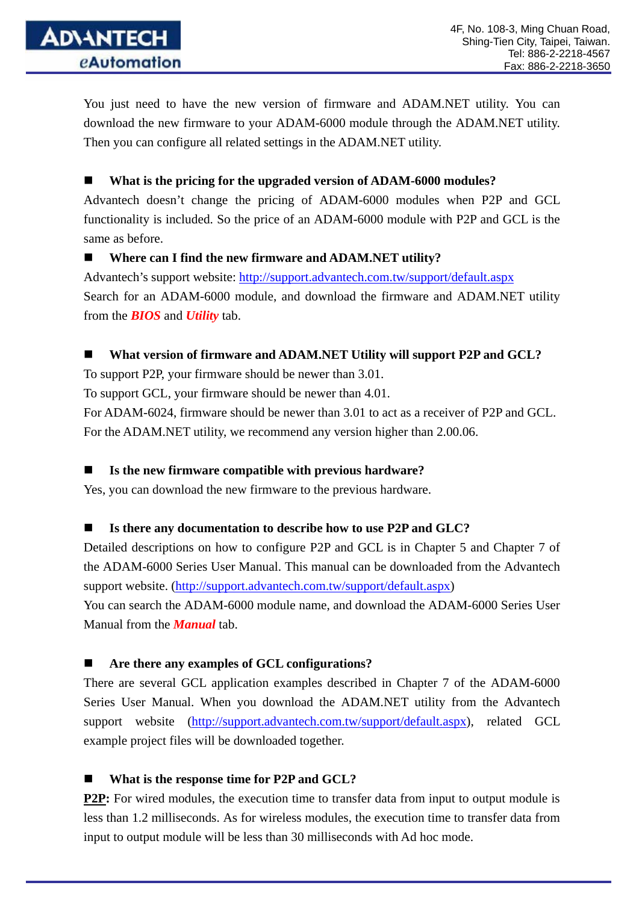You just need to have the new version of firmware and ADAM.NET utility. You can download the new firmware to your ADAM-6000 module through the ADAM.NET utility. Then you can configure all related settings in the ADAM.NET utility.

**What is the pricing for the upgraded version of ADAM-6000 modules?** 

Advantech doesn't change the pricing of ADAM-6000 modules when P2P and GCL functionality is included. So the price of an ADAM-6000 module with P2P and GCL is the same as before.

#### **Where can I find the new firmware and ADAM.NET utility?**

Advantech's support website:<http://support.advantech.com.tw/support/default.aspx> Search for an ADAM-6000 module, and download the firmware and ADAM.NET utility from the *BIOS* and *Utility* tab.

## **What version of firmware and ADAM.NET Utility will support P2P and GCL?**

To support P2P, your firmware should be newer than 3.01.

To support GCL, your firmware should be newer than 4.01.

For ADAM-6024, firmware should be newer than 3.01 to act as a receiver of P2P and GCL. For the ADAM.NET utility, we recommend any version higher than 2.00.06.

## **Is the new firmware compatible with previous hardware?**

Yes, you can download the new firmware to the previous hardware.

## **Is there any documentation to describe how to use P2P and GLC?**

Detailed descriptions on how to configure P2P and GCL is in Chapter 5 and Chapter 7 of the ADAM-6000 Series User Manual. This manual can be downloaded from the Advantech support website. ([http://support.advantech.com.tw/support/default.aspx\)](http://support.advantech.com.tw/support/default.aspx) You can search the ADAM-6000 module name, and download the ADAM-6000 Series User Manual from the *Manual* tab.

## ■ Are there any examples of GCL configurations?

There are several GCL application examples described in Chapter 7 of the ADAM-6000 Series User Manual. When you download the ADAM.NET utility from the Advantech support website ([http://support.advantech.com.tw/support/default.aspx\)](http://support.advantech.com.tw/support/default.aspx), related GCL example project files will be downloaded together.

■ What is the response time for P2P and GCL?

**P2P:** For wired modules, the execution time to transfer data from input to output module is less than 1.2 milliseconds. As for wireless modules, the execution time to transfer data from input to output module will be less than 30 milliseconds with Ad hoc mode.